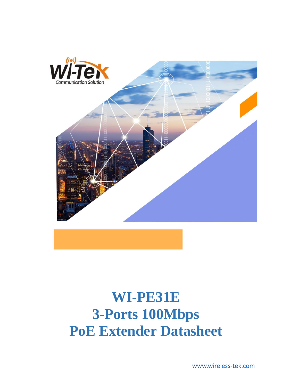

# **WI-PE31E 3-Ports 100Mbps PoE Extender Datasheet**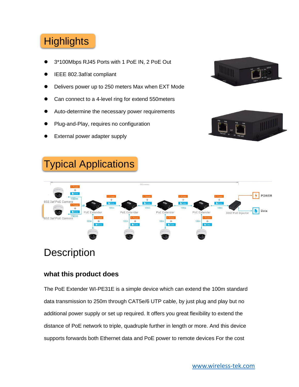## **Highlights**

- ⚫ 3\*100Mbps RJ45 Ports with 1 PoE IN, 2 PoE Out
- ⚫ IEEE 802.3af/at compliant
- ⚫ Delivers power up to 250 meters Max when EXT Mode
- ⚫ Can connect to a 4-level ring for extend 550meters
- ⚫ Auto-determine the necessary power requirements
- ⚫ Plug-and-Play, requires no configuration
- ⚫ External power adapter supply







## **Description**

#### **what this product does**

The PoE Extender WI-PE31E is a simple device which can extend the 100m standard data transmission to 250m through CAT5e/6 UTP cable, by just plug and play but no additional power supply or set up required. It offers you great flexibility to extend the distance of PoE network to triple, quadruple further in length or more. And this device supports forwards both Ethernet data and PoE power to remote devices For the cost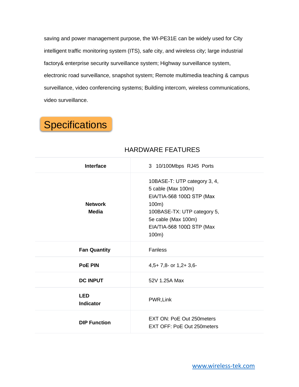saving and power management purpose, the WI-PE31E can be widely used for City intelligent traffic monitoring system (ITS), safe city, and wireless city; large industrial factory& enterprise security surveillance system; Highway surveillance system, electronic road surveillance, snapshot system; Remote multimedia teaching & campus surveillance, video conferencing systems; Building intercom, wireless communications, video surveillance.

## **Specifications**

| <b>Interface</b>               | 3 10/100Mbps RJ45 Ports                                                                                                                                                                        |
|--------------------------------|------------------------------------------------------------------------------------------------------------------------------------------------------------------------------------------------|
| <b>Network</b><br><b>Media</b> | 10BASE-T: UTP category 3, 4,<br>5 cable (Max 100m)<br>$EIA/TIA-568$ 100 $\Omega$ STP (Max<br>100m)<br>100BASE-TX: UTP category 5,<br>5e cable (Max 100m)<br>EIA/TIA-568 100Ω STP (Max<br>100m) |
| <b>Fan Quantity</b>            | Fanless                                                                                                                                                                                        |
| <b>PoE PIN</b>                 | $4,5+7,8$ - or $1,2+3,6$ -                                                                                                                                                                     |
| <b>DC INPUT</b>                | 52V 1.25A Max                                                                                                                                                                                  |
| <b>LED</b><br><b>Indicator</b> | PWR, Link                                                                                                                                                                                      |
| <b>DIP Function</b>            | EXT ON: PoE Out 250 meters<br>EXT OFF: PoE Out 250 meters                                                                                                                                      |

#### HARDWARE FEATURES